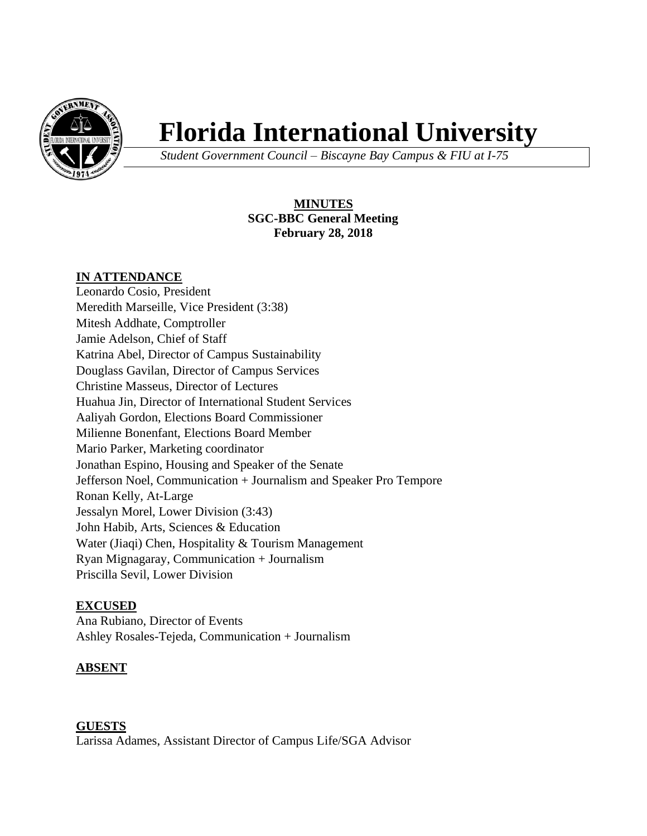

# **Florida International University**

*Student Government Council – Biscayne Bay Campus & FIU at I-75*

# **MINUTES SGC-BBC General Meeting February 28, 2018**

## **IN ATTENDANCE**

Leonardo Cosio, President Meredith Marseille, Vice President (3:38) Mitesh Addhate, Comptroller Jamie Adelson, Chief of Staff Katrina Abel, Director of Campus Sustainability Douglass Gavilan, Director of Campus Services Christine Masseus, Director of Lectures Huahua Jin, Director of International Student Services Aaliyah Gordon, Elections Board Commissioner Milienne Bonenfant, Elections Board Member Mario Parker, Marketing coordinator Jonathan Espino, Housing and Speaker of the Senate Jefferson Noel, Communication + Journalism and Speaker Pro Tempore Ronan Kelly, At-Large Jessalyn Morel, Lower Division (3:43) John Habib, Arts, Sciences & Education Water (Jiaqi) Chen, Hospitality & Tourism Management Ryan Mignagaray, Communication + Journalism Priscilla Sevil, Lower Division

## **EXCUSED**

Ana Rubiano, Director of Events Ashley Rosales-Tejeda, Communication + Journalism

## **ABSENT**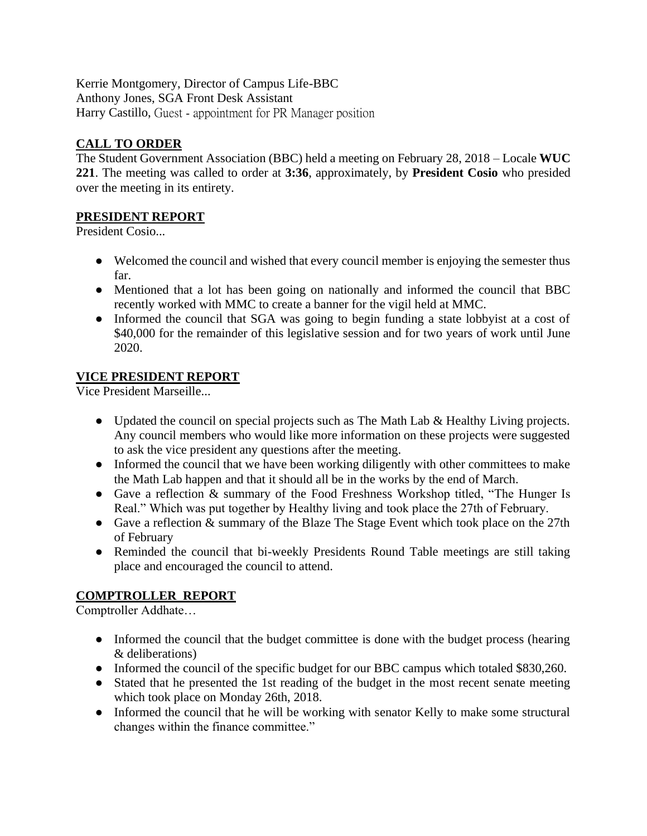Kerrie Montgomery, Director of Campus Life-BBC Anthony Jones, SGA Front Desk Assistant Harry Castillo, Guest - appointment for PR Manager position

# **CALL TO ORDER**

The Student Government Association (BBC) held a meeting on February 28, 2018 – Locale **WUC 221**. The meeting was called to order at **3:36**, approximately, by **President Cosio** who presided over the meeting in its entirety.

## **PRESIDENT REPORT**

President Cosio...

- Welcomed the council and wished that every council member is enjoying the semester thus far.
- Mentioned that a lot has been going on nationally and informed the council that BBC recently worked with MMC to create a banner for the vigil held at MMC.
- Informed the council that SGA was going to begin funding a state lobbyist at a cost of \$40,000 for the remainder of this legislative session and for two years of work until June 2020.

# **VICE PRESIDENT REPORT**

Vice President Marseille...

- Updated the council on special projects such as The Math Lab & Healthy Living projects. Any council members who would like more information on these projects were suggested to ask the vice president any questions after the meeting.
- Informed the council that we have been working diligently with other committees to make the Math Lab happen and that it should all be in the works by the end of March.
- Gave a reflection & summary of the Food Freshness Workshop titled, "The Hunger Is Real." Which was put together by Healthy living and took place the 27th of February.
- Gave a reflection & summary of the Blaze The Stage Event which took place on the 27th of February
- Reminded the council that bi-weekly Presidents Round Table meetings are still taking place and encouraged the council to attend.

# **COMPTROLLER REPORT**

Comptroller Addhate…

- Informed the council that the budget committee is done with the budget process (hearing & deliberations)
- Informed the council of the specific budget for our BBC campus which totaled \$830,260.
- Stated that he presented the 1st reading of the budget in the most recent senate meeting which took place on Monday 26th, 2018.
- Informed the council that he will be working with senator Kelly to make some structural changes within the finance committee."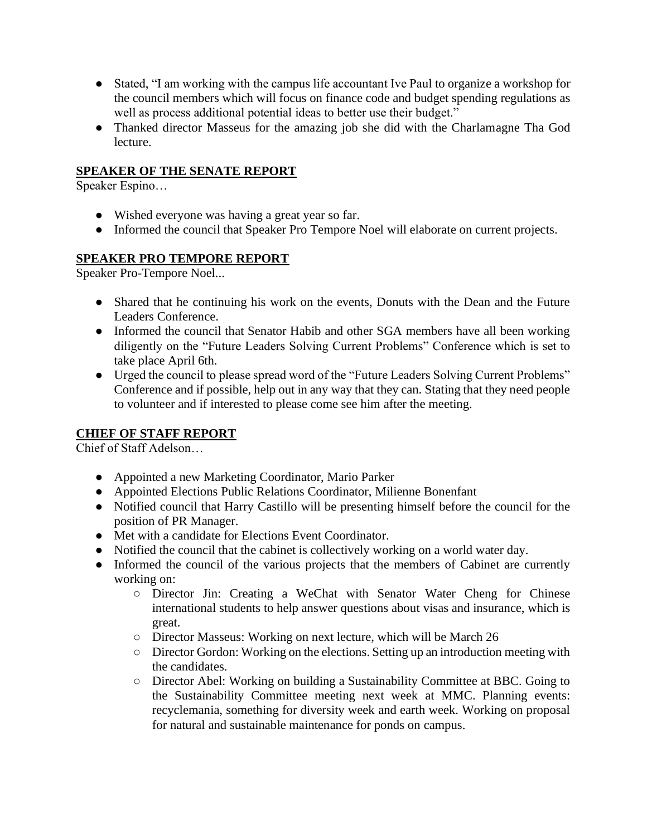- Stated, "I am working with the campus life accountant Ive Paul to organize a workshop for the council members which will focus on finance code and budget spending regulations as well as process additional potential ideas to better use their budget."
- Thanked director Masseus for the amazing job she did with the Charlamagne Tha God lecture.

## **SPEAKER OF THE SENATE REPORT**

Speaker Espino…

- Wished everyone was having a great year so far.
- Informed the council that Speaker Pro Tempore Noel will elaborate on current projects.

## **SPEAKER PRO TEMPORE REPORT**

Speaker Pro-Tempore Noel...

- Shared that he continuing his work on the events, Donuts with the Dean and the Future Leaders Conference.
- Informed the council that Senator Habib and other SGA members have all been working diligently on the "Future Leaders Solving Current Problems" Conference which is set to take place April 6th.
- Urged the council to please spread word of the "Future Leaders Solving Current Problems" Conference and if possible, help out in any way that they can. Stating that they need people to volunteer and if interested to please come see him after the meeting.

## **CHIEF OF STAFF REPORT**

Chief of Staff Adelson…

- Appointed a new Marketing Coordinator, Mario Parker
- Appointed Elections Public Relations Coordinator, Milienne Bonenfant
- Notified council that Harry Castillo will be presenting himself before the council for the position of PR Manager.
- Met with a candidate for Elections Event Coordinator.
- Notified the council that the cabinet is collectively working on a world water day.
- Informed the council of the various projects that the members of Cabinet are currently working on:
	- Director Jin: Creating a WeChat with Senator Water Cheng for Chinese international students to help answer questions about visas and insurance, which is great.
	- Director Masseus: Working on next lecture, which will be March 26
	- Director Gordon: Working on the elections. Setting up an introduction meeting with the candidates.
	- Director Abel: Working on building a Sustainability Committee at BBC. Going to the Sustainability Committee meeting next week at MMC. Planning events: recyclemania, something for diversity week and earth week. Working on proposal for natural and sustainable maintenance for ponds on campus.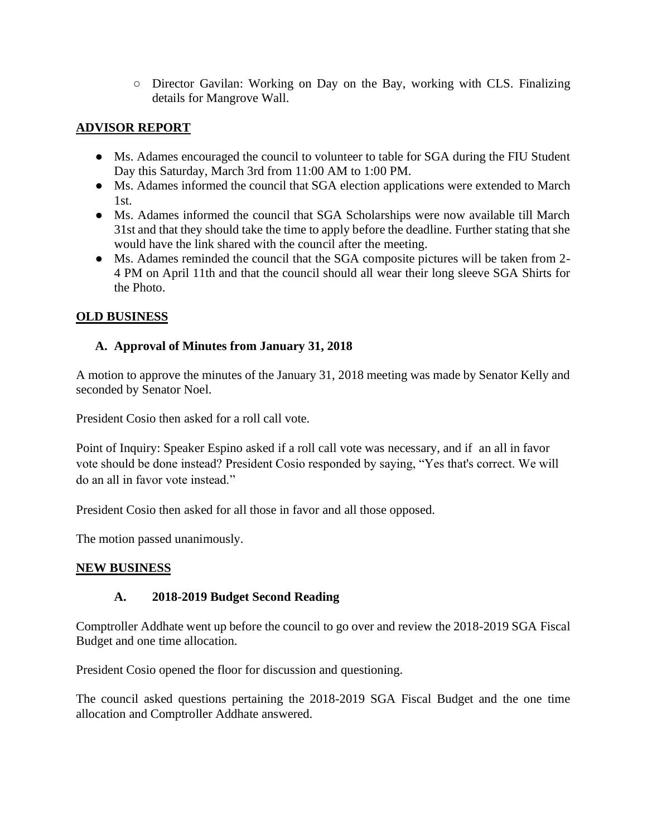○ Director Gavilan: Working on Day on the Bay, working with CLS. Finalizing details for Mangrove Wall.

# **ADVISOR REPORT**

- Ms. Adames encouraged the council to volunteer to table for SGA during the FIU Student Day this Saturday, March 3rd from 11:00 AM to 1:00 PM.
- Ms. Adames informed the council that SGA election applications were extended to March  $1$ st.
- Ms. Adames informed the council that SGA Scholarships were now available till March 31st and that they should take the time to apply before the deadline. Further stating that she would have the link shared with the council after the meeting.
- Ms. Adames reminded the council that the SGA composite pictures will be taken from 2- 4 PM on April 11th and that the council should all wear their long sleeve SGA Shirts for the Photo.

# **OLD BUSINESS**

## **A. Approval of Minutes from January 31, 2018**

A motion to approve the minutes of the January 31, 2018 meeting was made by Senator Kelly and seconded by Senator Noel.

President Cosio then asked for a roll call vote.

Point of Inquiry: Speaker Espino asked if a roll call vote was necessary, and if an all in favor vote should be done instead? President Cosio responded by saying, "Yes that's correct. We will do an all in favor vote instead."

President Cosio then asked for all those in favor and all those opposed.

The motion passed unanimously.

## **NEW BUSINESS**

## **A. 2018-2019 Budget Second Reading**

Comptroller Addhate went up before the council to go over and review the 2018-2019 SGA Fiscal Budget and one time allocation.

President Cosio opened the floor for discussion and questioning.

The council asked questions pertaining the 2018-2019 SGA Fiscal Budget and the one time allocation and Comptroller Addhate answered.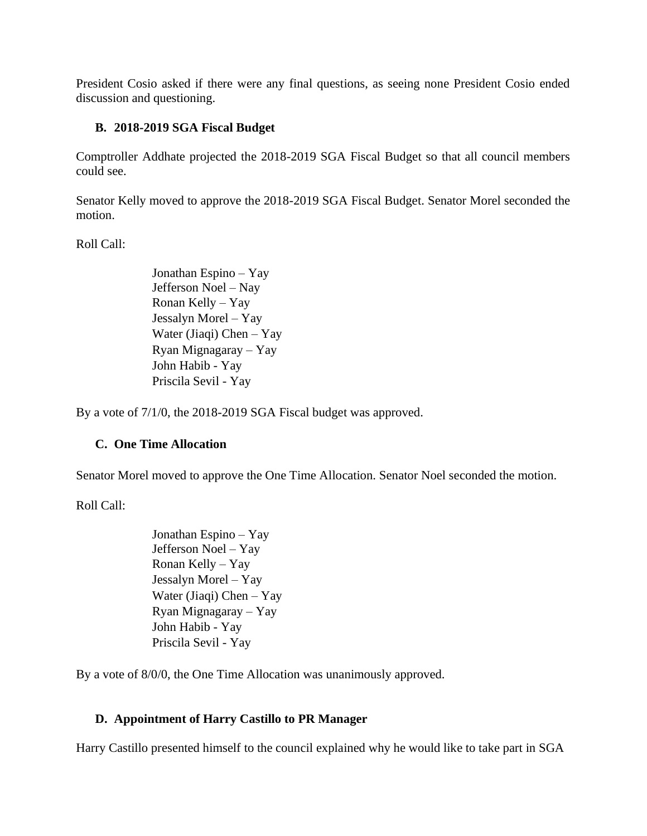President Cosio asked if there were any final questions, as seeing none President Cosio ended discussion and questioning.

## **B. 2018-2019 SGA Fiscal Budget**

Comptroller Addhate projected the 2018-2019 SGA Fiscal Budget so that all council members could see.

Senator Kelly moved to approve the 2018-2019 SGA Fiscal Budget. Senator Morel seconded the motion.

Roll Call:

Jonathan Espino – Yay Jefferson Noel – Nay Ronan Kelly – Yay Jessalyn Morel – Yay Water (Jiaqi) Chen – Yay Ryan Mignagaray – Yay John Habib - Yay Priscila Sevil - Yay

By a vote of 7/1/0, the 2018-2019 SGA Fiscal budget was approved.

## **C. One Time Allocation**

Senator Morel moved to approve the One Time Allocation. Senator Noel seconded the motion.

Roll Call:

Jonathan Espino – Yay Jefferson Noel – Yay Ronan Kelly – Yay Jessalyn Morel – Yay Water (Jiaqi) Chen – Yay Ryan Mignagaray – Yay John Habib - Yay Priscila Sevil - Yay

By a vote of 8/0/0, the One Time Allocation was unanimously approved.

## **D. Appointment of Harry Castillo to PR Manager**

Harry Castillo presented himself to the council explained why he would like to take part in SGA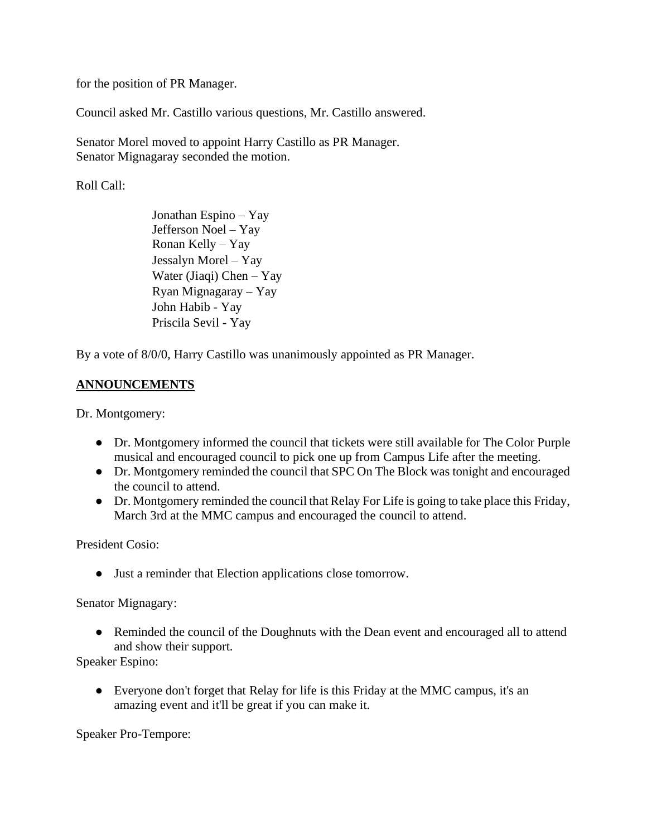for the position of PR Manager.

Council asked Mr. Castillo various questions, Mr. Castillo answered.

Senator Morel moved to appoint Harry Castillo as PR Manager. Senator Mignagaray seconded the motion.

Roll Call:

Jonathan Espino – Yay Jefferson Noel – Yay Ronan Kelly – Yay Jessalyn Morel – Yay Water (Jiaqi) Chen – Yay Ryan Mignagaray – Yay John Habib - Yay Priscila Sevil - Yay

By a vote of 8/0/0, Harry Castillo was unanimously appointed as PR Manager.

## **ANNOUNCEMENTS**

Dr. Montgomery:

- Dr. Montgomery informed the council that tickets were still available for The Color Purple musical and encouraged council to pick one up from Campus Life after the meeting.
- Dr. Montgomery reminded the council that SPC On The Block was tonight and encouraged the council to attend.
- Dr. Montgomery reminded the council that Relay For Life is going to take place this Friday, March 3rd at the MMC campus and encouraged the council to attend.

President Cosio:

● Just a reminder that Election applications close tomorrow.

Senator Mignagary:

• Reminded the council of the Doughnuts with the Dean event and encouraged all to attend and show their support.

Speaker Espino:

● Everyone don't forget that Relay for life is this Friday at the MMC campus, it's an amazing event and it'll be great if you can make it.

Speaker Pro-Tempore: